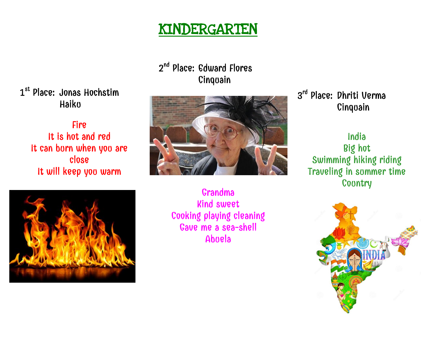

2<sup>nd</sup> Place: Edward Flores Cinquain

l, i i i i i l l

1 st Place: Jonas Hochstim Haiku

Fire It is hot and red It can burn when you are close It will keep you warm



Grandma Kind sweet Cooking playing cleaning Gave me a sea-shell Abuela

3<sup>rd</sup> Place: Dhriti Verma Cinquain

> India Big hot Swimming hiking riding Traveling in summer time **Country**

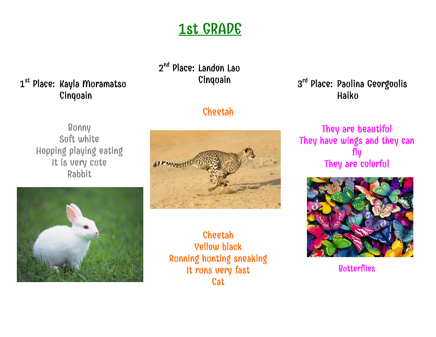# 1st GRADE

### 1<sup>st</sup> Place: Kayla Muramatsu Cinquain

## 2<sup>nd</sup> Place: Landon Lau Cinquain

### **Cheetah**

Bunny Soft white Hopping playing eating It is very cute Rabbit





Cheetah Yellow black Running hunting sneaking It rons very fast **Cat** 

### 3<sup>rd</sup> Place: Paulina Georgoulis Haiku

#### They are beautiful They have wings and they can fly They are colorful



**Butterflies**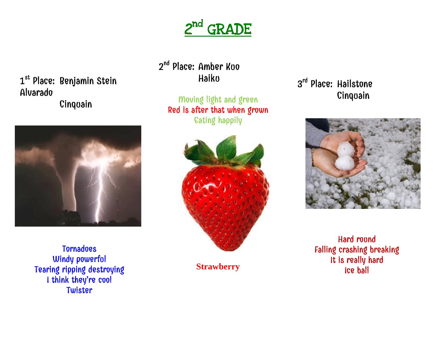

1<sup>st</sup> Place: Benjamin Stein Alvarado Cinquain



Tornadoes Windy powerfol Tearing ripping destroying I think they're cool Twister

2<sup>nd</sup> Place: Amber Kuo Haiku

Moving light and green Red is after that when grown Eating happily



**Strawberry**

### 3<sup>rd</sup> Place: Hailstone Cinquain



Hard round Falling crashing breaking It is really hard Ice ball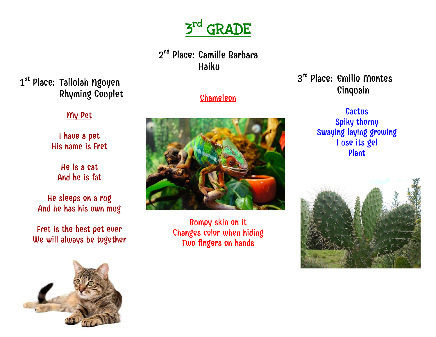

2<sup>nd</sup> Place: Camille Barbara Haiku

1<sup>st</sup> Place: Tallolah Ngoyen Rhyming Couplet

#### My Pet

I have a pet His name is Fret

He is a cat And he is fat

He sleeps on a rug And he has his own mug

Fret is the best pet ever We will always be together



#### **Chameleon**



Bumpy skin on it Changes color when hiding Two fingers on hands

#### 3 rd Place: Emilio Montes Cinquain

**Cactus** Spiky thorny Swaying laying growing I use its gel Plant

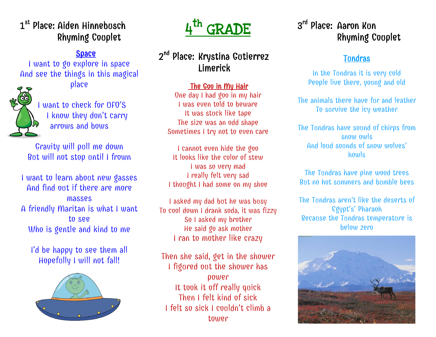### 1<sup>st</sup> Place: Aiden Hinnebusch Rhyming Couplet

#### Space

I want to go explore in space And see the things in this magical place



 I want to check for UFO'S I know they don't carry arrows and bows

Gravity will pull me down But will not stop until I frown

I want to learn about new gasses And find out if there are more masses A friendly Maritan is what I want to see Who is gentle and kind to me

I'd be happy to see them all Hopefully I will not fall!





#### 2<sup>nd</sup> Place: Krystina Gotierrez Limerick

#### The Goo in My Hair

One day I had goo in my hair I was even told to beware It was stuck like tape The size was an odd shape Sometimes I try not to even care

I cannot even hide the goo It looks like the color of stew I was so very mad I really felt very sad I thought I had some on my shoe

I asked my dad but he was busy To cool down I drank soda, it was fizzy So I asked my brother He said go ask mother I ran to mother like crazy

Then she said, get in the shower I figured out the shower has power It took it off really quick Then I felt kind of sick I felt so sick I couldn't climb a tower

### 3<sup>rd</sup> Place: Aaron Kun Rhyming Couplet

#### Tundras

In the Tundras it is very cold People live there, young and old

The animals there have fur and leather To survive the icy weather

The Tundras have sound of chirps from snow owls And loud sounds of snow wolves' howls

The Tundras have pine wood trees But no hot summers and bumble bees

The Tundras aren't like the deserts of Egypt's' Pharaoh Because the Tundras temperature is below zero

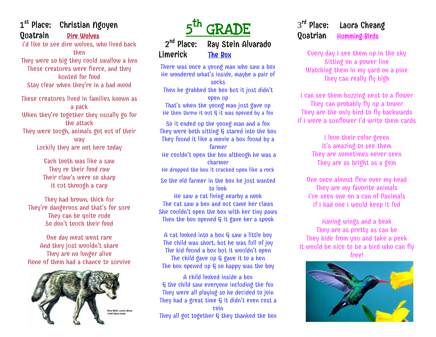#### 1<sup>st</sup> Place: Christian Nguyen Quatrain Dire Wolves

I'd like to see dire wolves, who lived back then

They were so big they could swallow a hen These creatures were fierce, and they hunted for food Stay clear when they're in a bad mood

These creatures lived in families known as a pack When they're together they usually go for the attack They were tough, animals got out of their way Luckily they are not here today

> Each tooth was like a saw They re their food raw Their claw's were so sharp It cut through a carp

They had brown, thick fur They're dangerous and that's for sure They can be quite rude So don't touch their food

One day meat went rare And they just wouldn't share They are no longer alive None of them had a chance to survive





There was once a young man who saw a box He wondered what's inside, maybe a pair of socks Then he grabbed the box bot it jost didn't open up That's when the young man just gave up He then threw it out  $G$  it was opened by a fox

So it ended up the young man and a fox They were both sitting  $G$  stared into the box They found it like a movie a box found by a farmer He couldn't open the box although he was a charmer He dropped the box it cracked upon like a rock So the old farmer in the box he just wanted to look

He saw a cat living nearby a nook The cat saw a box and out came her claws She couldn't open the box with her tiny paws Then the box opened  $G$  it gave her a spook

A cat looked into a box G saw a little boy The child was short, but he was full of joy The kid found a box but it wouldn't open The child gave up  $G$  gave it to a hen The box opened up  $G$  so happy was the boy

A child looked inside a box & the child saw everyone including the fox They were all playing so he decided to join They had a great time G it didn't even cost a coin They all got together & they thanked the box

#### 3 rd Laura Cheang Quatrian Homming Birds

Every day I see them up in the sky Sitting on a power line Watching them in my yard on a pine They can really fly high

I can see them buzzing next to a flower They can probably fly up a tower They are the only bird to fly backwards If I were a sunflower I'd write them cards

> I love their color green It's amazing to see them They are sometimes never seen They are as bright as a gem

One once almost flew over my head They are my favorite animals I've seen one on a can of Danimals If I had one I would keep it fed

Having wings and a beak They are as pretty as can be They hide from you and take a peek It would be nice to be a bird who can fly free!